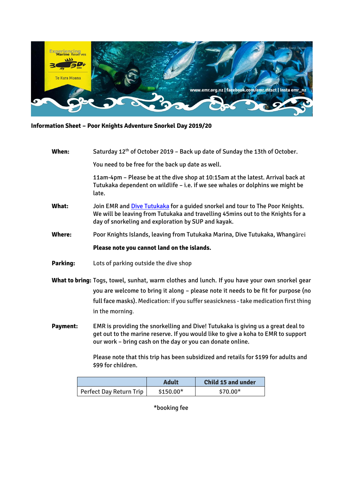

## **Information Sheet – Poor Knights Adventure Snorkel Day 2019/20**

| When:           | Saturday 12 <sup>th</sup> of October 2019 - Back up date of Sunday the 13th of October.                                                                                                                                                                                                         |  |  |
|-----------------|-------------------------------------------------------------------------------------------------------------------------------------------------------------------------------------------------------------------------------------------------------------------------------------------------|--|--|
|                 | You need to be free for the back up date as well.                                                                                                                                                                                                                                               |  |  |
|                 | 11am-4pm - Please be at the dive shop at 10:15am at the latest. Arrival back at<br>Tutukaka dependent on wildlife - i.e. if we see whales or dolphins we might be<br>late.                                                                                                                      |  |  |
| What:           | Join EMR and Dive Tutukaka for a guided snorkel and tour to The Poor Knights.<br>We will be leaving from Tutukaka and travelling 45mins out to the Knights for a<br>day of snorkeling and exploration by SUP and kayak.                                                                         |  |  |
| Where:          | Poor Knights Islands, leaving from Tutukaka Marina, Dive Tutukaka, Whangārei                                                                                                                                                                                                                    |  |  |
|                 | Please note you cannot land on the islands.                                                                                                                                                                                                                                                     |  |  |
| Parking:        | Lots of parking outside the dive shop                                                                                                                                                                                                                                                           |  |  |
|                 | What to bring: Togs, towel, sunhat, warm clothes and lunch. If you have your own snorkel gear<br>you are welcome to bring it along - please note it needs to be fit for purpose (no<br>full face masks). Medication: if you suffer seasickness - take medication first thing<br>in the morning. |  |  |
| <b>Payment:</b> | EMR is providing the snorkelling and Dive! Tutukaka is giving us a great deal to<br>get out to the marine reserve. If you would like to give a koha to EMR to support<br>our work - bring cash on the day or you can donate online.                                                             |  |  |

Please note that this trip has been subsidized and retails for \$199 for adults and \$99 for children.

|                         | Adult     | Child 15 and under |
|-------------------------|-----------|--------------------|
| Perfect Day Return Trip | \$150.00* | $$70.00*$          |

\*booking fee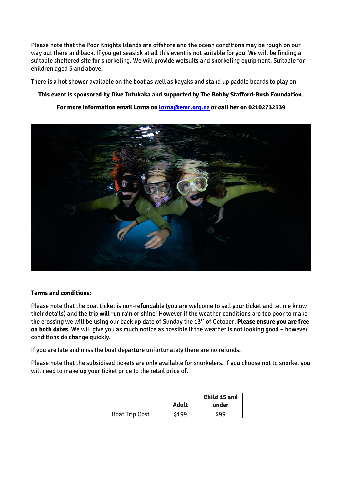Please note that the Poor Knights Islands are offshore and the ocean conditions may be rough on our way out there and back. If you get seasick at all this event is not suitable for you. We will be finding a suitable sheltered site for snorkeling. We will provide wetsuits and snorkeling equipment. Suitable for children aged 5 and above.

There is a hot shower available on the boat as well as kayaks and stand up paddle boards to play on.

## **This event is sponsored by Dive Tutukaka and supported by The Bobby Stafford-Bush Foundation.**

## **For more information email Lorna on [lorna@emr.org.nz](mailto:lorna@emr.org.nz) or call her on 02102732339**



## **Terms and conditions:**

Please note that the boat ticket is non-refundable (you are welcome to sell your ticket and let me know their details) and the trip will run rain or shine! However if the weather conditions are too poor to make the crossing we will be using our back up date of Sunday the 13th of October. **Please ensure you are free on both dates**. We will give you as much notice as possible if the weather is not looking good – however conditions do change quickly.

If you are late and miss the boat departure unfortunately there are no refunds.

Please note that the subsidised tickets are only available for snorkelers. If you choose not to snorkel you will need to make up your ticket price to the retail price of.

|                       |              | Child 15 and |
|-----------------------|--------------|--------------|
|                       | <b>Adult</b> | under        |
| <b>Boat Trip Cost</b> | \$199        | \$99         |